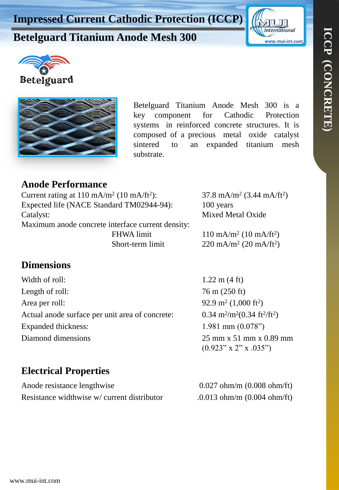# **Betelguard Titanium Anode Mesh 300**







Betelguard Titanium Anode Mesh 300 is a key component for Cathodic Protection systems in reinforced concrete structures. It is composed of a precious metal oxide catalyst sintered to an expanded titanium mesh substrate.

#### **Anode Performance**

| Current rating at $110 \text{ mA/m}^2$ (10 mA/ft <sup>2</sup> ): |                   | 37.8 mA/m <sup>2</sup> (3.44 mA/ft <sup>2</sup> ) |
|------------------------------------------------------------------|-------------------|---------------------------------------------------|
| Expected life (NACE Standard TM02944-94):                        |                   | 100 years                                         |
| Catalyst:                                                        |                   | Mixed Metal Oxide                                 |
| Maximum anode concrete interface current density:                |                   |                                                   |
|                                                                  | <b>FHWA</b> limit | $110 \text{ mA/m}^2$ (10 mA/ft <sup>2</sup> )     |
|                                                                  | Short-term limit  | 220 mA/m <sup>2</sup> (20 mA/ft <sup>2</sup> )    |

### **Dimensions**

Width of roll:  $1.22 \text{ m} (4 \text{ ft})$ Length of roll:  $76 \text{ m} (250 \text{ ft})$ Area per roll: Actual anode surface per unit area of concrete: Expanded thickness: 1.981 mm (0.078") Diamond dimensions 25 mm x 51 mm x 0.89 mm

 $(1,000 \text{ ft}^2)$  $/m^2(0.34 \text{ ft}^2/\text{ft}^2)$  $(0.923" x 2" x .035")$ 

## **Electrical Properties**

Anode resistance lengthwise 0.027 ohm/m (0.008 ohm/ft) Resistance widthwise w/ current distributor .0.013 ohm/m (0.004 ohm/ft)